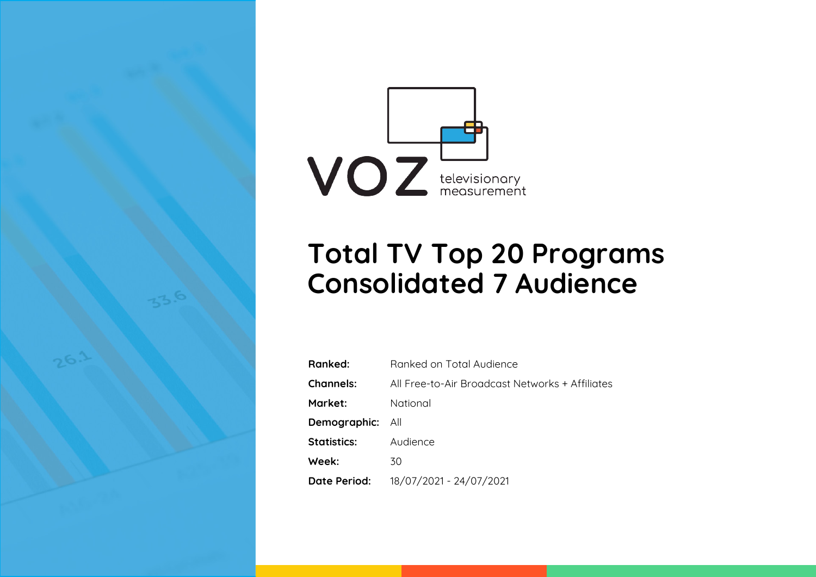

# **Total TV Top 20 Programs Consolidated 7 Audience**

| Ranked:                 | Ranked on Total Audience                        |
|-------------------------|-------------------------------------------------|
| <b>Channels:</b>        | All Free-to-Air Broadcast Networks + Affiliates |
| Market:                 | National                                        |
| <b>Demographic:</b> All |                                                 |
| <b>Statistics:</b>      | Audience                                        |
| Week:                   | 30                                              |
| Date Period:            | 18/07/2021 - 24/07/2021                         |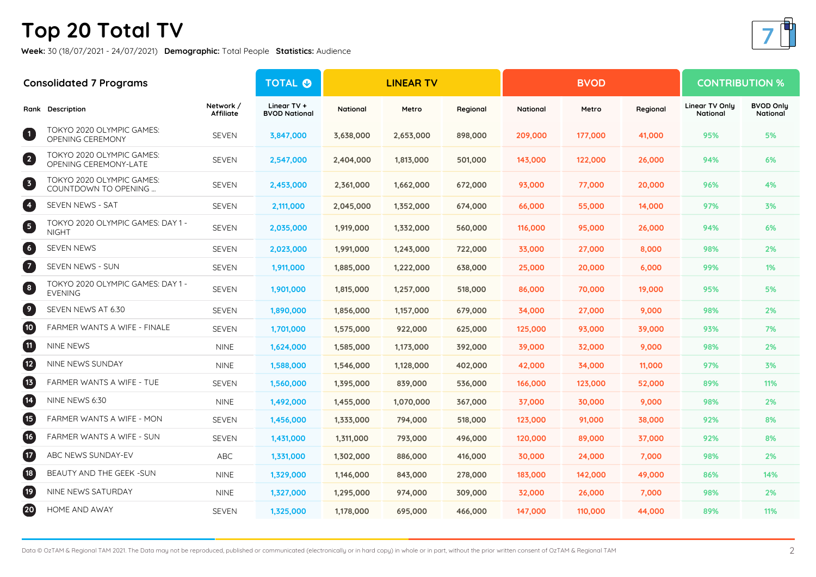## **Top 20 Total TV**

**Week:** 30 (18/07/2021 - 24/07/2021) **Demographic:** Total People **Statistics:** Audience

| <b>Consolidated 7 Programs</b> |                                                     | <b>TOTAL O</b>         | <b>LINEAR TV</b>                    |                 |           |          | <b>BVOD</b> | <b>CONTRIBUTION %</b> |          |                            |                              |
|--------------------------------|-----------------------------------------------------|------------------------|-------------------------------------|-----------------|-----------|----------|-------------|-----------------------|----------|----------------------------|------------------------------|
|                                | Rank Description                                    | Network /<br>Affiliate | Linear TV +<br><b>BVOD National</b> | <b>National</b> | Metro     | Regional | National    | Metro                 | Regional | Linear TV Only<br>National | <b>BVOD Only</b><br>National |
| $\blacksquare$                 | TOKYO 2020 OLYMPIC GAMES:<br>OPENING CEREMONY       | <b>SEVEN</b>           | 3,847,000                           | 3,638,000       | 2,653,000 | 898,000  | 209,000     | 177,000               | 41,000   | 95%                        | 5%                           |
| $\overline{\mathbf{c}}$        | TOKYO 2020 OLYMPIC GAMES:<br>OPENING CEREMONY-LATE  | <b>SEVEN</b>           | 2,547,000                           | 2,404,000       | 1,813,000 | 501,000  | 143,000     | 122,000               | 26,000   | 94%                        | 6%                           |
| 3                              | TOKYO 2020 OLYMPIC GAMES:<br>COUNTDOWN TO OPENING   | SEVEN                  | 2,453,000                           | 2,361,000       | 1,662,000 | 672,000  | 93,000      | 77,000                | 20,000   | 96%                        | 4%                           |
| 4                              | SEVEN NEWS - SAT                                    | <b>SEVEN</b>           | 2,111,000                           | 2,045,000       | 1,352,000 | 674,000  | 66,000      | 55,000                | 14,000   | 97%                        | 3%                           |
| 6                              | TOKYO 2020 OLYMPIC GAMES: DAY 1 -<br><b>NIGHT</b>   | <b>SEVEN</b>           | 2,035,000                           | 1,919,000       | 1,332,000 | 560,000  | 116,000     | 95,000                | 26,000   | 94%                        | 6%                           |
| $\bullet$                      | SEVEN NEWS                                          | <b>SEVEN</b>           | 2,023,000                           | 1,991,000       | 1,243,000 | 722,000  | 33,000      | 27,000                | 8,000    | 98%                        | 2%                           |
| $\overline{\mathbf{z}}$        | SEVEN NEWS - SUN                                    | <b>SEVEN</b>           | 1,911,000                           | 1,885,000       | 1,222,000 | 638,000  | 25,000      | 20,000                | 6,000    | 99%                        | $1\%$                        |
| 3                              | TOKYO 2020 OLYMPIC GAMES: DAY 1 -<br><b>EVENING</b> | <b>SEVEN</b>           | 1,901,000                           | 1,815,000       | 1,257,000 | 518,000  | 86,000      | 70,000                | 19,000   | 95%                        | 5%                           |
| $\bullet$                      | SEVEN NEWS AT 6.30                                  | <b>SEVEN</b>           | 1,890,000                           | 1,856,000       | 1,157,000 | 679,000  | 34,000      | 27,000                | 9,000    | 98%                        | 2%                           |
| $\overline{10}$                | <b>FARMER WANTS A WIFE - FINALE</b>                 | <b>SEVEN</b>           | 1,701,000                           | 1,575,000       | 922,000   | 625,000  | 125,000     | 93,000                | 39,000   | 93%                        | 7%                           |
| $\mathbf{u}$                   | NINE NEWS                                           | <b>NINE</b>            | 1,624,000                           | 1,585,000       | 1,173,000 | 392,000  | 39,000      | 32,000                | 9,000    | 98%                        | 2%                           |
| $\overline{12}$                | NINE NEWS SUNDAY                                    | <b>NINE</b>            | 1,588,000                           | 1,546,000       | 1,128,000 | 402,000  | 42,000      | 34,000                | 11,000   | 97%                        | 3%                           |
| $\mathbf{E}$                   | FARMER WANTS A WIFE - TUE                           | <b>SEVEN</b>           | 1,560,000                           | 1,395,000       | 839,000   | 536,000  | 166,000     | 123,000               | 52,000   | 89%                        | 11%                          |
| $\mathbf{E}$                   | NINE NEWS 6:30                                      | <b>NINE</b>            | 1,492,000                           | 1,455,000       | 1,070,000 | 367,000  | 37,000      | 30,000                | 9,000    | 98%                        | 2%                           |
| $\bigoplus$                    | FARMER WANTS A WIFE - MON                           | <b>SEVEN</b>           | 1,456,000                           | 1,333,000       | 794,000   | 518,000  | 123,000     | 91,000                | 38,000   | 92%                        | 8%                           |
| $\overline{16}$                | FARMER WANTS A WIFE - SUN                           | SEVEN                  | 1,431,000                           | 1,311,000       | 793,000   | 496,000  | 120,000     | 89,000                | 37,000   | 92%                        | 8%                           |
| $\boldsymbol{\mathbf{\Psi}}$   | ABC NEWS SUNDAY-EV                                  | ABC                    | 1,331,000                           | 1,302,000       | 886,000   | 416,000  | 30,000      | 24,000                | 7,000    | 98%                        | 2%                           |
| <b>18</b>                      | BEAUTY AND THE GEEK -SUN                            | <b>NINE</b>            | 1,329,000                           | 1,146,000       | 843,000   | 278,000  | 183,000     | 142,000               | 49,000   | 86%                        | 14%                          |
| $\left( 19 \right)$            | NINE NEWS SATURDAY                                  | <b>NINE</b>            | 1,327,000                           | 1,295,000       | 974,000   | 309,000  | 32,000      | 26,000                | 7,000    | 98%                        | 2%                           |
| $\overline{20}$                | HOME AND AWAY                                       | <b>SEVEN</b>           | 1,325,000                           | 1,178,000       | 695,000   | 466,000  | 147,000     | 110,000               | 44,000   | 89%                        | 11%                          |



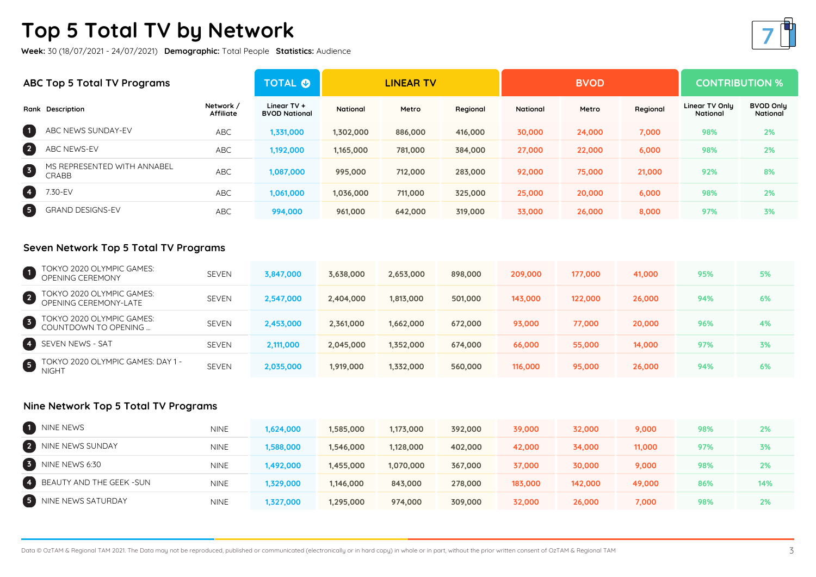### **Top 5 Total TV by Network**

**Week:** 30 (18/07/2021 - 24/07/2021) **Demographic:** Total People **Statistics:** Audience

| ABC Top 5 Total TV Programs |                                      | <b>TOTAL O</b>                | <b>LINEAR TV</b>                      |           |         |          | <b>BVOD</b> | <b>CONTRIBUTION %</b> |          |                                   |                              |
|-----------------------------|--------------------------------------|-------------------------------|---------------------------------------|-----------|---------|----------|-------------|-----------------------|----------|-----------------------------------|------------------------------|
|                             | Rank Description                     | Network /<br><b>Affiliate</b> | Linear $TV +$<br><b>BVOD National</b> | National  | Metro   | Regional | National    | Metro                 | Regional | Linear TV Only<br><b>National</b> | <b>BVOD Only</b><br>National |
| $\blacksquare$              | ABC NEWS SUNDAY-EV                   | <b>ABC</b>                    | 1,331,000                             | 1,302,000 | 886,000 | 416,000  | 30,000      | 24,000                | 7,000    | 98%                               | 2%                           |
| 2                           | ABC NEWS-EV                          | <b>ABC</b>                    | 1,192,000                             | 1,165,000 | 781,000 | 384,000  | 27,000      | 22,000                | 6,000    | 98%                               | 2%                           |
| 6                           | MS REPRESENTED WITH ANNABEL<br>CRABB | <b>ABC</b>                    | 1,087,000                             | 995,000   | 712,000 | 283,000  | 92,000      | 75,000                | 21,000   | 92%                               | 8%                           |
| O                           | 7.30-EV                              | <b>ABC</b>                    | 1,061,000                             | 1,036,000 | 711,000 | 325,000  | 25,000      | 20,000                | 6,000    | 98%                               | 2%                           |
| 6                           | <b>GRAND DESIGNS-EV</b>              | <b>ABC</b>                    | 994,000                               | 961,000   | 642,000 | 319,000  | 33,000      | 26,000                | 8,000    | 97%                               | 3%                           |

#### **Seven Network Top 5 Total TV Programs**

|           | TOKYO 2020 OLYMPIC GAMES:<br>OPENING CEREMONY       | <b>SEVEN</b> | 3,847,000 | 3,638,000 | 2,653,000 | 898,000 | 209,000 | 177,000 | 41,000 | 95% | 5% |
|-----------|-----------------------------------------------------|--------------|-----------|-----------|-----------|---------|---------|---------|--------|-----|----|
|           | 2 TUKYU ZUZU ULT                                    | <b>SEVEN</b> | 2,547,000 | 2,404,000 | 1,813,000 | 501,000 | 143,000 | 122,000 | 26,000 | 94% | 6% |
|           | 3 TOKYO 2020 OLYMPIC GAMES:<br>COUNTDOWN TO OPENING | <b>SEVEN</b> | 2,453,000 | 2,361,000 | 1,662,000 | 672,000 | 93,000  | 77,000  | 20,000 | 96% | 4% |
|           | 4 SEVEN NEWS - SAT                                  | <b>SEVEN</b> | 2,111,000 | 2,045,000 | 1,352,000 | 674,000 | 66,000  | 55,000  | 14,000 | 97% | 3% |
| $\bullet$ | OKYO 2020 OLYMPIC GAMES: DAY 1 -<br><b>NIGHT</b>    | <b>SEVEN</b> | 2,035,000 | 1,919,000 | 1,332,000 | 560,000 | 116,000 | 95,000  | 26,000 | 94% | 6% |

#### **Nine Network Top 5 Total TV Programs**

| 1 NINE NEWS                | <b>NINE</b> | 1,624,000 | 1,585,000 | 1,173,000 | 392,000 | 39,000  | 32,000  | 9,000  | 98% | 2%  |
|----------------------------|-------------|-----------|-----------|-----------|---------|---------|---------|--------|-----|-----|
| 2 NINE NEWS SUNDAY         | <b>NINE</b> | 1,588,000 | 1,546,000 | 1,128,000 | 402,000 | 42,000  | 34,000  | 11,000 | 97% | 3%  |
| 3 NINE NEWS 6:30           | <b>NINE</b> | 1,492,000 | 1,455,000 | 1,070,000 | 367,000 | 37,000  | 30,000  | 9,000  | 98% | 2%  |
| 4 BEAUTY AND THE GEEK -SUN | <b>NINE</b> | 1,329,000 | 1,146,000 | 843,000   | 278,000 | 183,000 | 142,000 | 49,000 | 86% | 14% |
| 5 NINE NEWS SATURDAY       | <b>NINE</b> | 1,327,000 | 1,295,000 | 974,000   | 309,000 | 32,000  | 26,000  | 7,000  | 98% | 2%  |

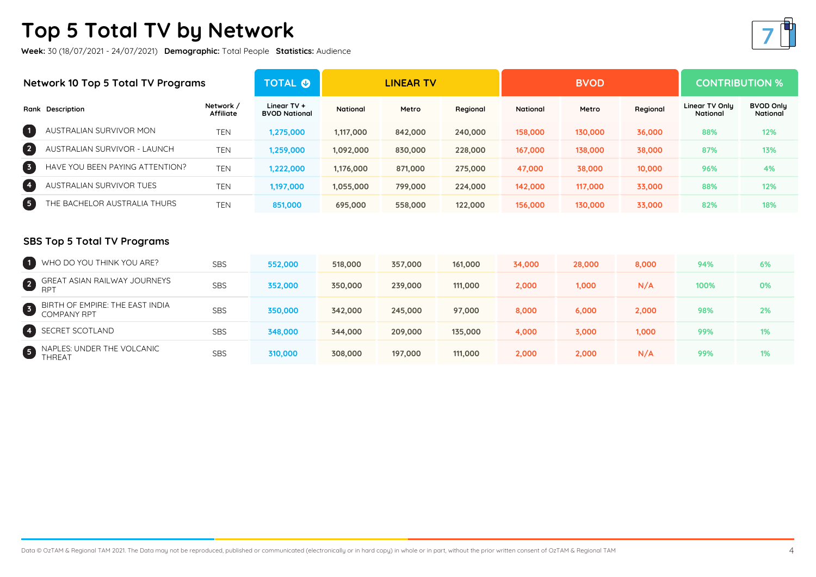### **Top 5 Total TV by Network**

**Week:** 30 (18/07/2021 - 24/07/2021) **Demographic:** Total People **Statistics:** Audience



#### **SBS Top 5 Total TV Programs**

| 1 WHO DO YOU THINK YOU ARE?                      | <b>SBS</b> | 552,000 | 518,000 | 357,000 | 161,000 | 34,000 | 28,000 | 8,000 | 94%  | 6% |
|--------------------------------------------------|------------|---------|---------|---------|---------|--------|--------|-------|------|----|
| <b>2</b> GREAT ASIAN RAILWAY JOURNEYS            | <b>SBS</b> | 352,000 | 350,000 | 239,000 | 111,000 | 2,000  | 1,000  | N/A   | 100% | 0% |
| 3 BIRTH OF EMPIRE: THE EAST INDIA<br>COMPANY RPT | <b>SBS</b> | 350,000 | 342,000 | 245,000 | 97,000  | 8,000  | 6,000  | 2,000 | 98%  | 2% |
| 4 SECRET SCOTLAND                                | <b>SBS</b> | 348,000 | 344,000 | 209,000 | 135,000 | 4,000  | 3,000  | 1,000 | 99%  | 1% |
| <b>5</b> NAPLES: UNDER THE VOLCANIC<br>THREAT    | <b>SBS</b> | 310,000 | 308,000 | 197,000 | 111,000 | 2,000  | 2,000  | N/A   | 99%  | 1% |

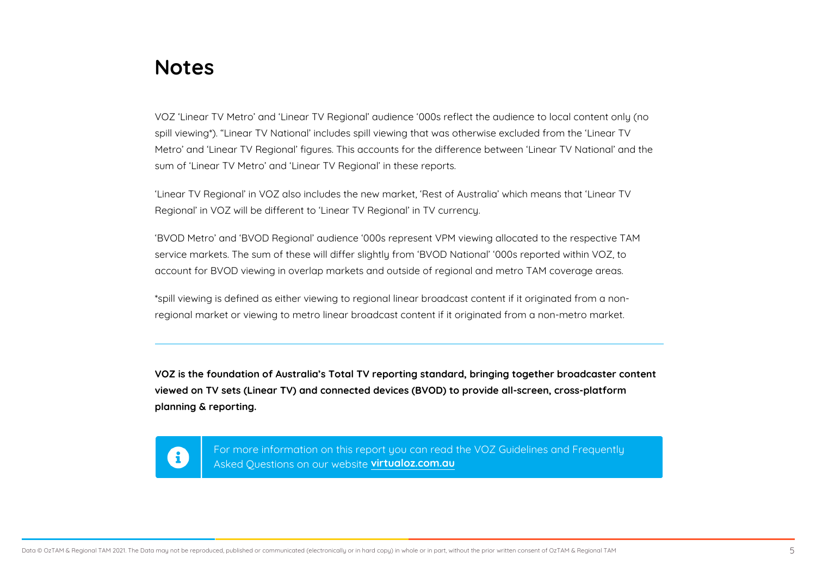### Notes

VOZ Linear TV Metro and Linear TV Regional audience 000s reflect the audience to local spill viewing\*). Linear TV National includes spill viewing that was otherwise excluded from Metro and Linear TV Regional figures. This accounts for the difference between Linear TV sum of Linear TV Metro and Linear TV Regional in these reports.

Linear TV Regional in VOZ also includes the new market, Rest of Australia which means th Regional in VOZ will be different to Linear TV Regional in TV currency.

BVOD Metro and BVOD Regional audience 000s represent VPM viewing allocated to the re service markets. The sum of these will differ slightly from BVOD National 000s reported wi account for BVOD viewing in overlap markets and outside of regional and metro TAM coverage

\*spill viewing is defined as either viewing to regional linear broadcast content if it originated regional market or viewing to metro linear broadcast content if it originated from a non-metro

VOZ is the foundation of Australia s Total TV reporting standard, bringing together broadcast viewed on TV sets (Linear TV) and connected devices (BVOD) to provide all-screen, cross-pla planning & reporting.

For more information on this report you can read the VOZ G Asked Questions on owirtwebosite om.au